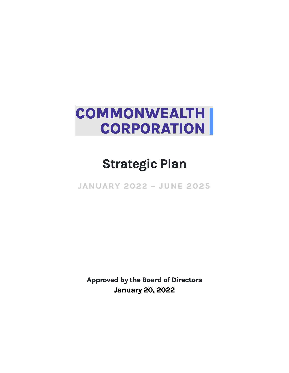# **COMMONWEALTH CORPORATION**

# **Strategic Plan**

**JANUARY 2022 – JUNE 2025** 

**Approved by the Board of Directors January 20, 2022**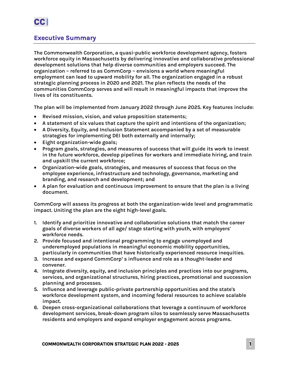## **Executive Summary**

**The Commonwealth Corporation, a quasi-public workforce development agency, fosters workforce equity in Massachusetts by delivering innovative and collaborative professional development solutions that help diverse communities and employers succeed. The organization – referred to as CommCorp – envisions a world where meaningful employment can lead to upward mobility for all. The organization engaged in a robust strategic planning process in 2020 and 2021. The plan reflects the needs of the communities CommCorp serves and will result in meaningful impacts that improve the lives of its constituents.**

**The plan will be implemented from January 2022 through June 2025. Key features include:**

- **Revised mission, vision, and value proposition statements;**
- **A statement of six values that capture the spirit and intentions of the organization;**
- **A Diversity, Equity, and Inclusion Statement accompanied by a set of measurable strategies for implementing DEI both externally and internally;**
- **Eight organization-wide goals;**
- **Program goals, strategies, and measures of success that will guide its work to invest in the future workforce, develop pipelines for workers and immediate hiring, and train and upskill the current workforce;**
- **Organization-wide goals, strategies, and measures of success that focus on the employee experience, infrastructure and technology, governance, marketing and branding, and research and development; and**
- **A plan for evaluation and continuous improvement to ensure that the plan is a living document.**

**CommCorp will assess its progress at both the organization-wide level and programmatic impact. Uniting the plan are the eight high-level goals.**

- **1. Identify and prioritize innovative and collaborative solutions that match the career goals of diverse workers of all age/ stage starting with youth, with employers' workforce needs.**
- **2. Provide focused and intentional programming to engage unemployed and underemployed populations in meaningful economic mobility opportunities, particularly in communities that have historically experienced resource inequities.**
- **3. Increase and expand CommCorp' s influence and role as a thought-leader and convener.**
- **4. Integrate diversity, equity, and inclusion principles and practices into our programs, services, and organizational structures, hiring practices, promotional and succession planning and processes.**
- **5. Influence and leverage public-private partnership opportunities and the state's workforce development system, and incoming federal resources to achieve scalable impact.**
- **6. Deepen cross-organizational collaborations that leverage a continuum of workforce development services, break-down program silos to seamlessly serve Massachusetts residents and employers and expand employer engagement across programs.**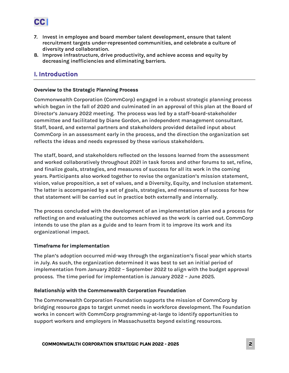

- **7. Invest in employee and board member talent development, ensure that talent recruitment targets under-represented communities, and celebrate a culture of diversity and collaboration.**
- **8. Improve infrastructure, drive productivity, and achieve access and equity by decreasing inefficiencies and eliminating barriers.**

# **I. Introduction**

#### **Overview to the Strategic Planning Process**

**Commonwealth Corporation (CommCorp) engaged in a robust strategic planning process which began in the fall of 2020 and culminated in an approval of this plan at the Board of Director's January 2022 meeting. The process was led by a staff-board-stakeholder committee and facilitated by Diane Gordon, an independent management consultant. Staff, board, and external partners and stakeholders provided detailed input about CommCorp in an assessment early in the process, and the direction the organization set reflects the ideas and needs expressed by these various stakeholders.**

**The staff, board, and stakeholders reflected on the lessons learned from the assessment and worked collaboratively throughout 2021 in task forces and other forums to set, refine, and finalize goals, strategies, and measures of success for all its work in the coming years. Participants also worked together to revise the organization's mission statement, vision, value proposition, a set of values, and a Diversity, Equity, and Inclusion statement. The latter is accompanied by a set of goals, strategies, and measures of success for how that statement will be carried out in practice both externally and internally.**

**The process concluded with the development of an implementation plan and a process for reflecting on and evaluating the outcomes achieved as the work is carried out. CommCorp intends to use the plan as a guide and to learn from it to improve its work and its organizational impact.** 

#### **Timeframe for implementation**

**The plan's adoption occurred mid-way through the organization's fiscal year which starts in July. As such, the organization determined it was best to set an initial period of implementation from January 2022 – September 2022 to align with the budget approval process. The time period for implementation is January 2022 – June 2025.**

#### **Relationship with the Commonwealth Corporation Foundation**

**The Commonwealth Corporation Foundation supports the mission of CommCorp by bridging resource gaps to target unmet needs in workforce development. The Foundation works in concert with CommCorp programming-at-large to identify opportunities to support workers and employers in Massachusetts beyond existing resources.**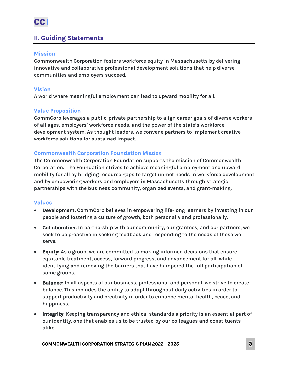## **II. Guiding Statements**

### **Mission**

**Commonwealth Corporation fosters workforce equity in Massachusetts by delivering innovative and collaborative professional development solutions that help diverse communities and employers succeed.**

### **Vision**

**A world where meaningful employment can lead to upward mobility for all.**

## **Value Proposition**

**CommCorp leverages a public-private partnership to align career goals of diverse workers of all ages, employers' workforce needs, and the power of the state's workforce development system. As thought leaders, we convene partners to implement creative workforce solutions for sustained impact.**

## **Commonwealth Corporation Foundation** *Mission*

**The Commonwealth Corporation Foundation supports the mission of Commonwealth Corporation. The Foundation strives to achieve meaningful employment and upward mobility for all by bridging resource gaps to target unmet needs in workforce development and by empowering workers and employers in Massachusetts through strategic partnerships with the business community, organized events, and grant-making.** 

#### **Values**

- **Development: CommCorp believes in empowering life-long learners by investing in our people and fostering a culture of growth, both personally and professionally.**
- **Collaboration: In partnership with our community, our grantees, and our partners, we seek to be proactive in seeking feedback and responding to the needs of those we serve.**
- **Equity: As a group, we are committed to making informed decisions that ensure equitable treatment, access, forward progress, and advancement for all, while identifying and removing the barriers that have hampered the full participation of some groups.**
- **Balance: In all aspects of our business, professional and personal, we strive to create balance. This includes the ability to adapt throughout daily activities in order to support productivity and creativity in order to enhance mental health, peace, and happiness.**
- **Integrity: Keeping transparency and ethical standards a priority is an essential part of our identity, one that enables us to be trusted by our colleagues and constituents alike.**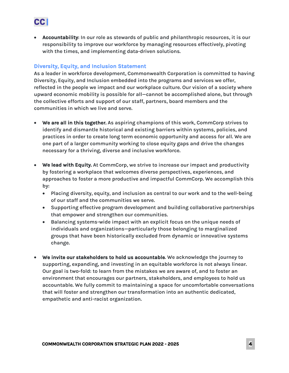

• **Accountability: In our role as stewards of public and philanthropic resources, it is our responsibility to improve our workforce by managing resources effectively, pivoting with the times, and implementing data-driven solutions.**

## **Diversity, Equity, and Inclusion Statement**

**As a leader in workforce development, Commonwealth Corporation is committed to having Diversity, Equity, and Inclusion embedded into the programs and services we offer, reflected in the people we impact and our workplace culture. Our vision of a society where upward economic mobility is possible for all—cannot be accomplished alone, but through the collective efforts and support of our staff, partners, board members and the communities in which we live and serve.**

- **We are all in this together. As aspiring champions of this work, CommCorp strives to identify and dismantle historical and existing barriers within systems, policies, and practices in order to create long term economic opportunity and access for all. We are one part of a larger community working to close equity gaps and drive the changes necessary for a thriving, diverse and inclusive workforce.**
- **We lead with Equity. At CommCorp, we strive to increase our impact and productivity by fostering a workplace that welcomes diverse perspectives, experiences, and approaches to foster a more productive and impactful CommCorp. We accomplish this by:**
	- **Placing diversity, equity, and inclusion as central to our work and to the well-being of our staff and the communities we serve.**
	- **Supporting effective program development and building collaborative partnerships that empower and strengthen our communities.**
	- **Balancing systems-wide impact with an explicit focus on the unique needs of individuals and organizations—particularly those belonging to marginalized groups that have been historically excluded from dynamic or innovative systems change.**
- **We invite our stakeholders to hold us accountable. We acknowledge the journey to supporting, expanding, and investing in an equitable workforce is not always linear. Our goal is two-fold: to learn from the mistakes we are aware of, and to foster an environment that encourages our partners, stakeholders, and employees to hold us accountable. We fully commit to maintaining a space for uncomfortable conversations that will foster and strengthen our transformation into an authentic dedicated, empathetic and anti-racist organization.**